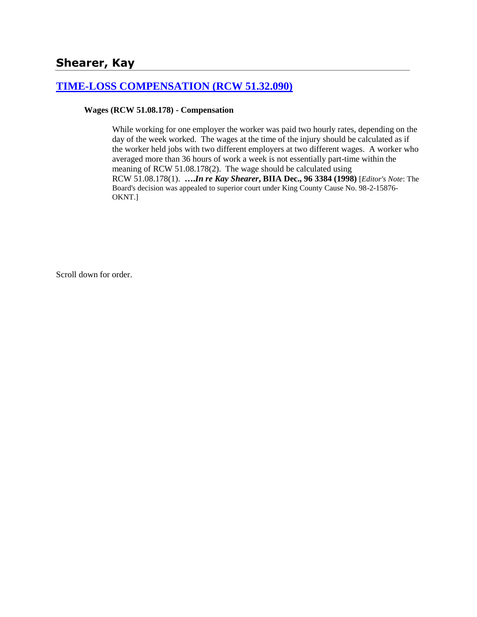# **Shearer, Kay**

### **[TIME-LOSS COMPENSATION \(RCW 51.32.090\)](http://www.biia.wa.gov/SDSubjectIndex.html#TIME_LOSS_COMPENSATION)**

#### **Wages (RCW 51.08.178) - Compensation**

While working for one employer the worker was paid two hourly rates, depending on the day of the week worked. The wages at the time of the injury should be calculated as if the worker held jobs with two different employers at two different wages. A worker who averaged more than 36 hours of work a week is not essentially part-time within the meaning of RCW 51.08.178(2). The wage should be calculated using RCW 51.08.178(1). **….***In re Kay Shearer***, BIIA Dec., 96 3384 (1998)** [*Editor's Note*: The Board's decision was appealed to superior court under King County Cause No. 98-2-15876- OKNT.]

Scroll down for order.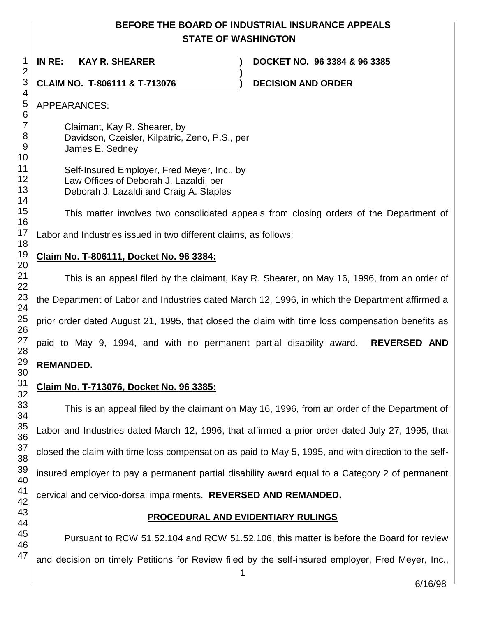# **BEFORE THE BOARD OF INDUSTRIAL INSURANCE APPEALS STATE OF WASHINGTON**

**)**

**IN RE: KAY R. SHEARER ) DOCKET NO. 96 3384 & 96 3385**

**CLAIM NO. T-806111 & T-713076 ) DECISION AND ORDER** 

APPEARANCES:

Claimant, Kay R. Shearer, by Davidson, Czeisler, Kilpatric, Zeno, P.S., per James E. Sedney

Self-Insured Employer, Fred Meyer, Inc., by Law Offices of Deborah J. Lazaldi, per Deborah J. Lazaldi and Craig A. Staples

This matter involves two consolidated appeals from closing orders of the Department of

Labor and Industries issued in two different claims, as follows:

## **Claim No. T-806111, Docket No. 96 3384:**

This is an appeal filed by the claimant, Kay R. Shearer, on May 16, 1996, from an order of the Department of Labor and Industries dated March 12, 1996, in which the Department affirmed a prior order dated August 21, 1995, that closed the claim with time loss compensation benefits as paid to May 9, 1994, and with no permanent partial disability award. **REVERSED AND REMANDED.**

## **Claim No. T-713076, Docket No. 96 3385:**

This is an appeal filed by the claimant on May 16, 1996, from an order of the Department of Labor and Industries dated March 12, 1996, that affirmed a prior order dated July 27, 1995, that closed the claim with time loss compensation as paid to May 5, 1995, and with direction to the selfinsured employer to pay a permanent partial disability award equal to a Category 2 of permanent cervical and cervico-dorsal impairments. **REVERSED AND REMANDED.**

## **PROCEDURAL AND EVIDENTIARY RULINGS**

Pursuant to RCW 51.52.104 and RCW 51.52.106, this matter is before the Board for review and decision on timely Petitions for Review filed by the self-insured employer, Fred Meyer, Inc.,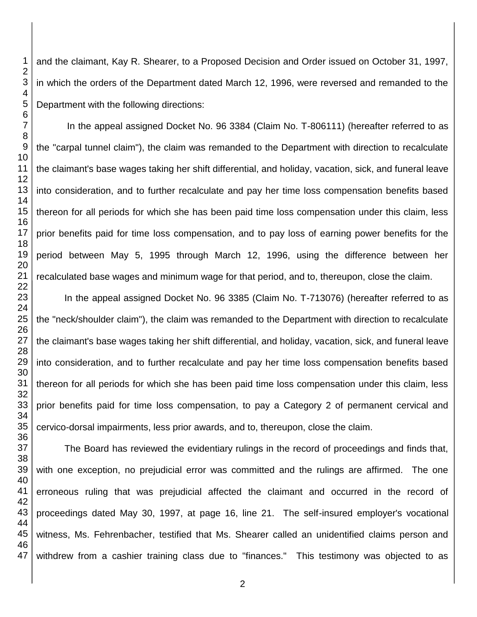and the claimant, Kay R. Shearer, to a Proposed Decision and Order issued on October 31, 1997, in which the orders of the Department dated March 12, 1996, were reversed and remanded to the Department with the following directions:

In the appeal assigned Docket No. 96 3384 (Claim No. T-806111) (hereafter referred to as the "carpal tunnel claim"), the claim was remanded to the Department with direction to recalculate the claimant's base wages taking her shift differential, and holiday, vacation, sick, and funeral leave into consideration, and to further recalculate and pay her time loss compensation benefits based thereon for all periods for which she has been paid time loss compensation under this claim, less prior benefits paid for time loss compensation, and to pay loss of earning power benefits for the period between May 5, 1995 through March 12, 1996, using the difference between her recalculated base wages and minimum wage for that period, and to, thereupon, close the claim.

In the appeal assigned Docket No. 96 3385 (Claim No. T-713076) (hereafter referred to as the "neck/shoulder claim"), the claim was remanded to the Department with direction to recalculate the claimant's base wages taking her shift differential, and holiday, vacation, sick, and funeral leave into consideration, and to further recalculate and pay her time loss compensation benefits based thereon for all periods for which she has been paid time loss compensation under this claim, less prior benefits paid for time loss compensation, to pay a Category 2 of permanent cervical and cervico-dorsal impairments, less prior awards, and to, thereupon, close the claim.

The Board has reviewed the evidentiary rulings in the record of proceedings and finds that, with one exception, no prejudicial error was committed and the rulings are affirmed. The one erroneous ruling that was prejudicial affected the claimant and occurred in the record of proceedings dated May 30, 1997, at page 16, line 21. The self-insured employer's vocational witness, Ms. Fehrenbacher, testified that Ms. Shearer called an unidentified claims person and withdrew from a cashier training class due to "finances." This testimony was objected to as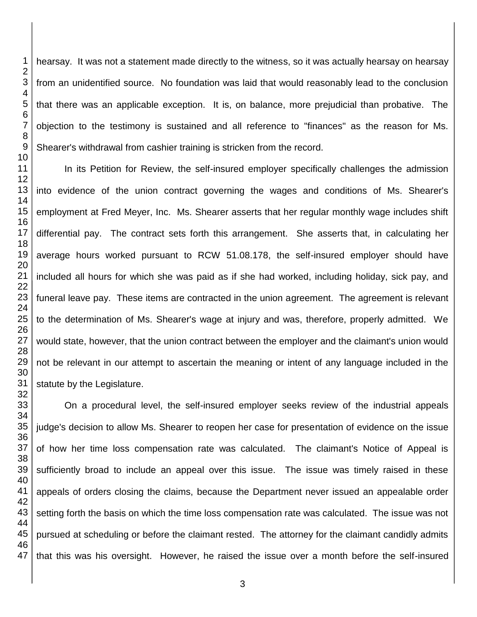hearsay. It was not a statement made directly to the witness, so it was actually hearsay on hearsay from an unidentified source. No foundation was laid that would reasonably lead to the conclusion that there was an applicable exception. It is, on balance, more prejudicial than probative. The objection to the testimony is sustained and all reference to "finances" as the reason for Ms. Shearer's withdrawal from cashier training is stricken from the record.

In its Petition for Review, the self-insured employer specifically challenges the admission into evidence of the union contract governing the wages and conditions of Ms. Shearer's employment at Fred Meyer, Inc. Ms. Shearer asserts that her regular monthly wage includes shift differential pay. The contract sets forth this arrangement. She asserts that, in calculating her average hours worked pursuant to RCW 51.08.178, the self-insured employer should have included all hours for which she was paid as if she had worked, including holiday, sick pay, and funeral leave pay. These items are contracted in the union agreement. The agreement is relevant to the determination of Ms. Shearer's wage at injury and was, therefore, properly admitted. We would state, however, that the union contract between the employer and the claimant's union would not be relevant in our attempt to ascertain the meaning or intent of any language included in the statute by the Legislature.

On a procedural level, the self-insured employer seeks review of the industrial appeals judge's decision to allow Ms. Shearer to reopen her case for presentation of evidence on the issue of how her time loss compensation rate was calculated. The claimant's Notice of Appeal is sufficiently broad to include an appeal over this issue. The issue was timely raised in these appeals of orders closing the claims, because the Department never issued an appealable order setting forth the basis on which the time loss compensation rate was calculated. The issue was not pursued at scheduling or before the claimant rested. The attorney for the claimant candidly admits that this was his oversight. However, he raised the issue over a month before the self-insured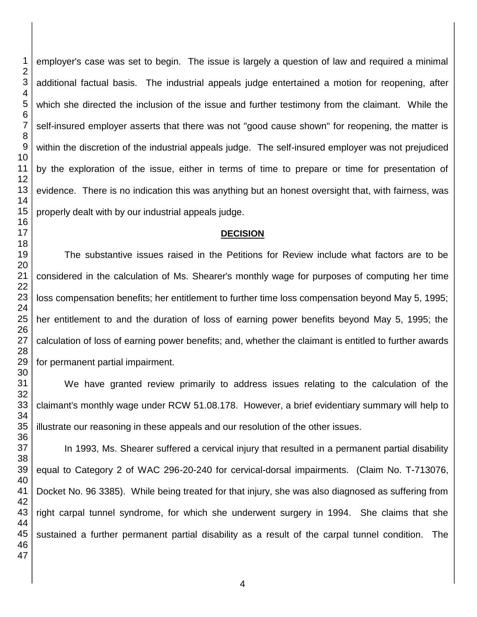employer's case was set to begin. The issue is largely a question of law and required a minimal additional factual basis. The industrial appeals judge entertained a motion for reopening, after which she directed the inclusion of the issue and further testimony from the claimant. While the self-insured employer asserts that there was not "good cause shown" for reopening, the matter is within the discretion of the industrial appeals judge. The self-insured employer was not prejudiced by the exploration of the issue, either in terms of time to prepare or time for presentation of evidence. There is no indication this was anything but an honest oversight that, with fairness, was properly dealt with by our industrial appeals judge.

### **DECISION**

The substantive issues raised in the Petitions for Review include what factors are to be considered in the calculation of Ms. Shearer's monthly wage for purposes of computing her time loss compensation benefits; her entitlement to further time loss compensation beyond May 5, 1995; her entitlement to and the duration of loss of earning power benefits beyond May 5, 1995; the calculation of loss of earning power benefits; and, whether the claimant is entitled to further awards for permanent partial impairment.

We have granted review primarily to address issues relating to the calculation of the claimant's monthly wage under RCW 51.08.178. However, a brief evidentiary summary will help to illustrate our reasoning in these appeals and our resolution of the other issues.

 In 1993, Ms. Shearer suffered a cervical injury that resulted in a permanent partial disability equal to Category 2 of WAC 296-20-240 for cervical-dorsal impairments. (Claim No. T-713076, Docket No. 96 3385). While being treated for that injury, she was also diagnosed as suffering from right carpal tunnel syndrome, for which she underwent surgery in 1994. She claims that she sustained a further permanent partial disability as a result of the carpal tunnel condition. The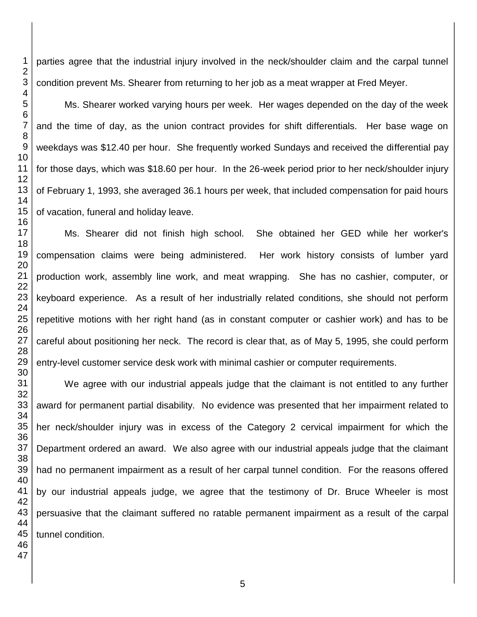parties agree that the industrial injury involved in the neck/shoulder claim and the carpal tunnel condition prevent Ms. Shearer from returning to her job as a meat wrapper at Fred Meyer.

Ms. Shearer worked varying hours per week. Her wages depended on the day of the week and the time of day, as the union contract provides for shift differentials. Her base wage on weekdays was \$12.40 per hour. She frequently worked Sundays and received the differential pay for those days, which was \$18.60 per hour. In the 26-week period prior to her neck/shoulder injury of February 1, 1993, she averaged 36.1 hours per week, that included compensation for paid hours of vacation, funeral and holiday leave.

Ms. Shearer did not finish high school. She obtained her GED while her worker's compensation claims were being administered. Her work history consists of lumber yard production work, assembly line work, and meat wrapping. She has no cashier, computer, or keyboard experience. As a result of her industrially related conditions, she should not perform repetitive motions with her right hand (as in constant computer or cashier work) and has to be careful about positioning her neck. The record is clear that, as of May 5, 1995, she could perform entry-level customer service desk work with minimal cashier or computer requirements.

We agree with our industrial appeals judge that the claimant is not entitled to any further award for permanent partial disability. No evidence was presented that her impairment related to her neck/shoulder injury was in excess of the Category 2 cervical impairment for which the Department ordered an award. We also agree with our industrial appeals judge that the claimant had no permanent impairment as a result of her carpal tunnel condition. For the reasons offered by our industrial appeals judge, we agree that the testimony of Dr. Bruce Wheeler is most persuasive that the claimant suffered no ratable permanent impairment as a result of the carpal tunnel condition.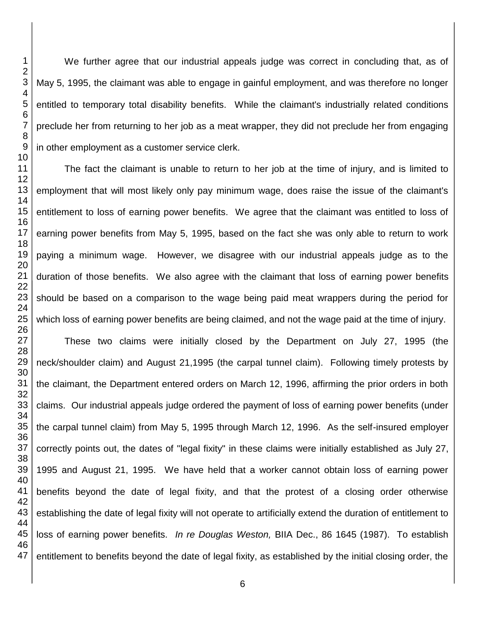We further agree that our industrial appeals judge was correct in concluding that, as of May 5, 1995, the claimant was able to engage in gainful employment, and was therefore no longer entitled to temporary total disability benefits. While the claimant's industrially related conditions preclude her from returning to her job as a meat wrapper, they did not preclude her from engaging in other employment as a customer service clerk.

The fact the claimant is unable to return to her job at the time of injury, and is limited to employment that will most likely only pay minimum wage, does raise the issue of the claimant's entitlement to loss of earning power benefits. We agree that the claimant was entitled to loss of earning power benefits from May 5, 1995, based on the fact she was only able to return to work paying a minimum wage. However, we disagree with our industrial appeals judge as to the duration of those benefits. We also agree with the claimant that loss of earning power benefits should be based on a comparison to the wage being paid meat wrappers during the period for which loss of earning power benefits are being claimed, and not the wage paid at the time of injury. These two claims were initially closed by the Department on July 27, 1995 (the neck/shoulder claim) and August 21,1995 (the carpal tunnel claim). Following timely protests by

the claimant, the Department entered orders on March 12, 1996, affirming the prior orders in both claims. Our industrial appeals judge ordered the payment of loss of earning power benefits (under the carpal tunnel claim) from May 5, 1995 through March 12, 1996. As the self-insured employer correctly points out, the dates of "legal fixity" in these claims were initially established as July 27, 1995 and August 21, 1995. We have held that a worker cannot obtain loss of earning power benefits beyond the date of legal fixity, and that the protest of a closing order otherwise establishing the date of legal fixity will not operate to artificially extend the duration of entitlement to loss of earning power benefits. *In re Douglas Weston,* BIIA Dec., 86 1645 (1987). To establish entitlement to benefits beyond the date of legal fixity, as established by the initial closing order, the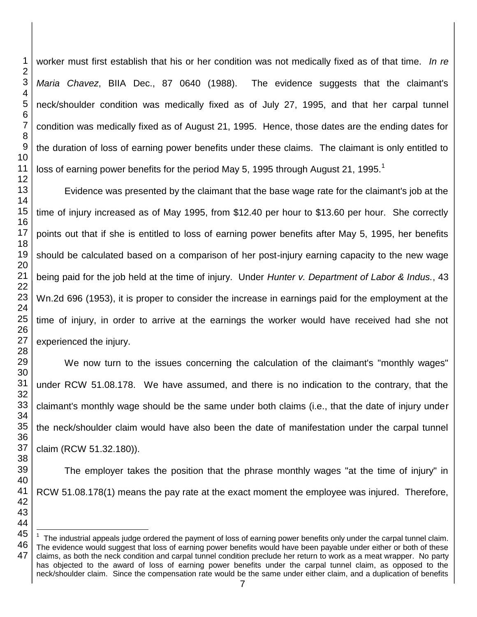worker must first establish that his or her condition was not medically fixed as of that time. *In re Maria Chavez*, BIIA Dec., 87 0640 (1988). The evidence suggests that the claimant's neck/shoulder condition was medically fixed as of July 27, 1995, and that her carpal tunnel condition was medically fixed as of August 21, 1995. Hence, those dates are the ending dates for the duration of loss of earning power benefits under these claims. The claimant is only entitled to loss of earning power benefits for the period May 5, 1995 through August 21, 1995.<sup>1</sup>

Evidence was presented by the claimant that the base wage rate for the claimant's job at the time of injury increased as of May 1995, from \$12.40 per hour to \$13.60 per hour. She correctly points out that if she is entitled to loss of earning power benefits after May 5, 1995, her benefits should be calculated based on a comparison of her post-injury earning capacity to the new wage being paid for the job held at the time of injury. Under *Hunter v. Department of Labor & Indus.*, 43 Wn.2d 696 (1953), it is proper to consider the increase in earnings paid for the employment at the time of injury, in order to arrive at the earnings the worker would have received had she not experienced the injury.

We now turn to the issues concerning the calculation of the claimant's "monthly wages" under RCW 51.08.178. We have assumed, and there is no indication to the contrary, that the claimant's monthly wage should be the same under both claims (i.e., that the date of injury under the neck/shoulder claim would have also been the date of manifestation under the carpal tunnel claim (RCW 51.32.180)).

The employer takes the position that the phrase monthly wages "at the time of injury" in RCW 51.08.178(1) means the pay rate at the exact moment the employee was injured. Therefore,

 The industrial appeals judge ordered the payment of loss of earning power benefits only under the carpal tunnel claim. The evidence would suggest that loss of earning power benefits would have been payable under either or both of these claims, as both the neck condition and carpal tunnel condition preclude her return to work as a meat wrapper. No party has objected to the award of loss of earning power benefits under the carpal tunnel claim, as opposed to the neck/shoulder claim. Since the compensation rate would be the same under either claim, and a duplication of benefits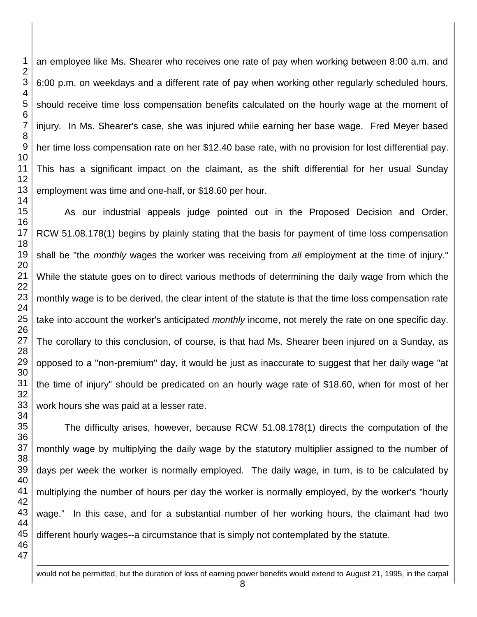an employee like Ms. Shearer who receives one rate of pay when working between 8:00 a.m. and 6:00 p.m. on weekdays and a different rate of pay when working other regularly scheduled hours, should receive time loss compensation benefits calculated on the hourly wage at the moment of injury. In Ms. Shearer's case, she was injured while earning her base wage. Fred Meyer based her time loss compensation rate on her \$12.40 base rate, with no provision for lost differential pay. This has a significant impact on the claimant, as the shift differential for her usual Sunday employment was time and one-half, or \$18.60 per hour.

As our industrial appeals judge pointed out in the Proposed Decision and Order, RCW 51.08.178(1) begins by plainly stating that the basis for payment of time loss compensation shall be "the *monthly* wages the worker was receiving from *all* employment at the time of injury." While the statute goes on to direct various methods of determining the daily wage from which the monthly wage is to be derived, the clear intent of the statute is that the time loss compensation rate take into account the worker's anticipated *monthly* income, not merely the rate on one specific day. The corollary to this conclusion, of course, is that had Ms. Shearer been injured on a Sunday, as opposed to a "non-premium" day, it would be just as inaccurate to suggest that her daily wage "at the time of injury" should be predicated on an hourly wage rate of \$18.60, when for most of her work hours she was paid at a lesser rate.

The difficulty arises, however, because RCW 51.08.178(1) directs the computation of the monthly wage by multiplying the daily wage by the statutory multiplier assigned to the number of days per week the worker is normally employed. The daily wage, in turn, is to be calculated by multiplying the number of hours per day the worker is normally employed, by the worker's "hourly wage." In this case, and for a substantial number of her working hours, the claimant had two different hourly wages--a circumstance that is simply not contemplated by the statute.

would not be permitted, but the duration of loss of earning power benefits would extend to August 21, 1995, in the carpal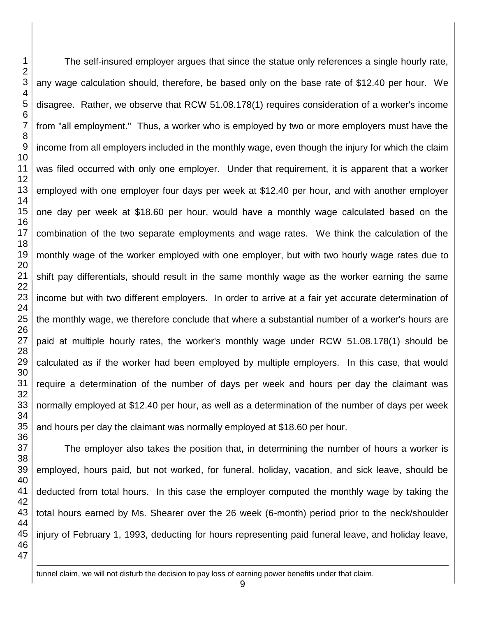<u>.</u>

The self-insured employer argues that since the statue only references a single hourly rate, any wage calculation should, therefore, be based only on the base rate of \$12.40 per hour. We disagree. Rather, we observe that RCW 51.08.178(1) requires consideration of a worker's income from "all employment." Thus, a worker who is employed by two or more employers must have the income from all employers included in the monthly wage, even though the injury for which the claim was filed occurred with only one employer. Under that requirement, it is apparent that a worker employed with one employer four days per week at \$12.40 per hour, and with another employer one day per week at \$18.60 per hour, would have a monthly wage calculated based on the combination of the two separate employments and wage rates. We think the calculation of the monthly wage of the worker employed with one employer, but with two hourly wage rates due to shift pay differentials, should result in the same monthly wage as the worker earning the same income but with two different employers. In order to arrive at a fair yet accurate determination of the monthly wage, we therefore conclude that where a substantial number of a worker's hours are paid at multiple hourly rates, the worker's monthly wage under RCW 51.08.178(1) should be calculated as if the worker had been employed by multiple employers. In this case, that would require a determination of the number of days per week and hours per day the claimant was normally employed at \$12.40 per hour, as well as a determination of the number of days per week and hours per day the claimant was normally employed at \$18.60 per hour.

The employer also takes the position that, in determining the number of hours a worker is employed, hours paid, but not worked, for funeral, holiday, vacation, and sick leave, should be deducted from total hours. In this case the employer computed the monthly wage by taking the total hours earned by Ms. Shearer over the 26 week (6-month) period prior to the neck/shoulder injury of February 1, 1993, deducting for hours representing paid funeral leave, and holiday leave,

tunnel claim, we will not disturb the decision to pay loss of earning power benefits under that claim.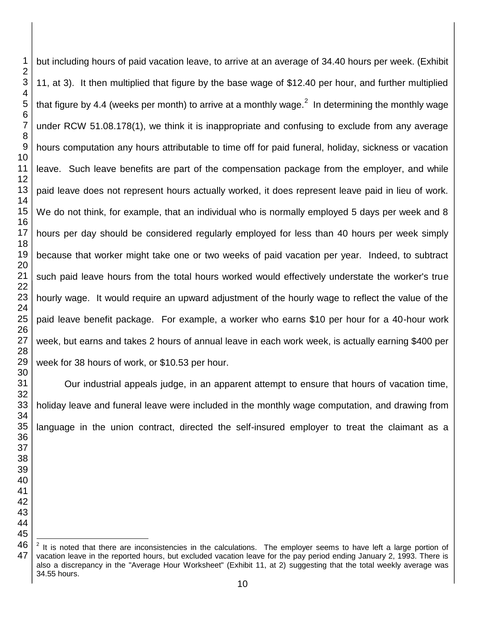but including hours of paid vacation leave, to arrive at an average of 34.40 hours per week. (Exhibit 11, at 3). It then multiplied that figure by the base wage of \$12.40 per hour, and further multiplied that figure by 4.4 (weeks per month) to arrive at a monthly wage.<sup>2</sup> In determining the monthly wage under RCW 51.08.178(1), we think it is inappropriate and confusing to exclude from any average hours computation any hours attributable to time off for paid funeral, holiday, sickness or vacation leave. Such leave benefits are part of the compensation package from the employer, and while paid leave does not represent hours actually worked, it does represent leave paid in lieu of work. We do not think, for example, that an individual who is normally employed 5 days per week and 8 hours per day should be considered regularly employed for less than 40 hours per week simply because that worker might take one or two weeks of paid vacation per year. Indeed, to subtract such paid leave hours from the total hours worked would effectively understate the worker's true hourly wage. It would require an upward adjustment of the hourly wage to reflect the value of the paid leave benefit package. For example, a worker who earns \$10 per hour for a 40-hour work week, but earns and takes 2 hours of annual leave in each work week, is actually earning \$400 per week for 38 hours of work, or \$10.53 per hour.

Our industrial appeals judge, in an apparent attempt to ensure that hours of vacation time, holiday leave and funeral leave were included in the monthly wage computation, and drawing from language in the union contract, directed the self-insured employer to treat the claimant as a

 It is noted that there are inconsistencies in the calculations. The employer seems to have left a large portion of vacation leave in the reported hours, but excluded vacation leave for the pay period ending January 2, 1993. There is also a discrepancy in the "Average Hour Worksheet" (Exhibit 11, at 2) suggesting that the total weekly average was 34.55 hours.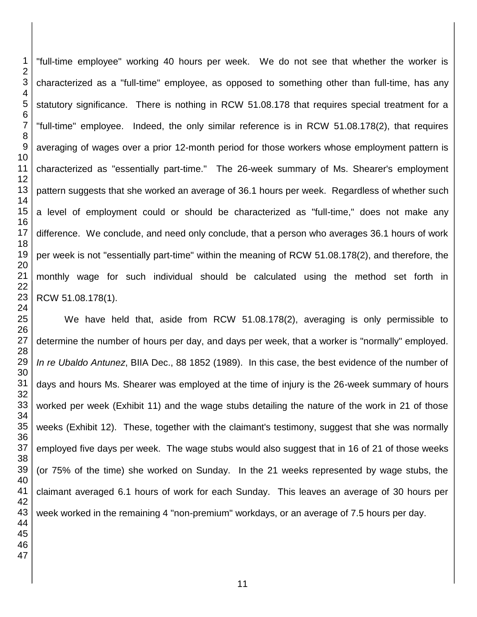"full-time employee" working 40 hours per week. We do not see that whether the worker is characterized as a "full-time" employee, as opposed to something other than full-time, has any statutory significance. There is nothing in RCW 51.08.178 that requires special treatment for a "full-time" employee. Indeed, the only similar reference is in RCW 51.08.178(2), that requires averaging of wages over a prior 12-month period for those workers whose employment pattern is characterized as "essentially part-time." The 26-week summary of Ms. Shearer's employment pattern suggests that she worked an average of 36.1 hours per week. Regardless of whether such a level of employment could or should be characterized as "full-time," does not make any difference. We conclude, and need only conclude, that a person who averages 36.1 hours of work per week is not "essentially part-time" within the meaning of RCW 51.08.178(2), and therefore, the monthly wage for such individual should be calculated using the method set forth in RCW 51.08.178(1).

We have held that, aside from RCW 51.08.178(2), averaging is only permissible to determine the number of hours per day, and days per week, that a worker is "normally" employed. *In re Ubaldo Antunez*, BIIA Dec., 88 1852 (1989). In this case, the best evidence of the number of days and hours Ms. Shearer was employed at the time of injury is the 26-week summary of hours worked per week (Exhibit 11) and the wage stubs detailing the nature of the work in 21 of those weeks (Exhibit 12). These, together with the claimant's testimony, suggest that she was normally employed five days per week. The wage stubs would also suggest that in 16 of 21 of those weeks (or 75% of the time) she worked on Sunday. In the 21 weeks represented by wage stubs, the claimant averaged 6.1 hours of work for each Sunday. This leaves an average of 30 hours per week worked in the remaining 4 "non-premium" workdays, or an average of 7.5 hours per day.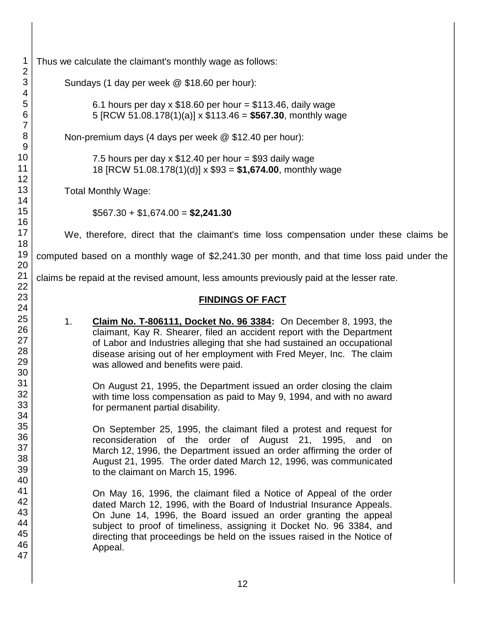| $\mathbf 1$                                | Thus we calcula |                                 |
|--------------------------------------------|-----------------|---------------------------------|
| $\begin{array}{c} 2 \\ 3 \\ 4 \end{array}$ | Sundays         |                                 |
| 5<br>6                                     |                 | 6.<br>5                         |
| $\overline{7}$<br>8                        | Non-prei        |                                 |
| 9<br>10<br>11                              |                 | 7.<br>18                        |
| 12<br>13                                   | Total Mo        |                                 |
| 14<br>15                                   |                 | \$5                             |
| 16<br>17                                   | We, the         |                                 |
| 18<br>19                                   | computed base   |                                 |
| 20<br>21<br>22                             | claims be repai |                                 |
| 23<br>24                                   |                 |                                 |
| 25<br>26<br>27<br>28<br>29<br>30           | 1.              | <u>င</u><br>cl<br>of<br>di<br>W |
| 31<br>32<br>33<br>34                       |                 | O<br>W<br>fo                    |
| 35<br>36<br>37<br>38<br>39<br>40           |                 | O<br>re<br>Μ<br>A١<br>to        |
| 41<br>42<br>43<br>44<br>45<br>46<br>47     |                 | O<br>da<br>O<br>Sl<br>di<br>A١  |
|                                            |                 |                                 |

ate the claimant's monthly wage as follows:

 $(1$  day per week  $\omega$  \$18.60 per hour):

1 hours per day x  $$18.60$  per hour =  $$113.46$ , daily wage  $[RCW 51.08.178(1)(a)] \times $113.46 = $567.30$ , monthly wage

mium days (4 days per week  $@$  \$12.40 per hour):

5 hours per day x  $$12.40$  per hour = \$93 daily wage 18 [RCW 51.08.178(1)(d)] x \$93 = **\$1,674.00**, monthly wage

nthly Wage:

\$567.30 + \$1,674.00 = **\$2,241.30**

refore, direct that the claimant's time loss compensation under these claims be

ed on a monthly wage of \$2,241.30 per month, and that time loss paid under the

d at the revised amount, less amounts previously paid at the lesser rate.

#### **FINDINGS OF FACT**

**Iaim No. T-806111, Docket No. 96 3384:** On December 8, 1993, the aimant, Kay R. Shearer, filed an accident report with the Department Labor and Industries alleging that she had sustained an occupational sease arising out of her employment with Fred Meyer, Inc. The claim as allowed and benefits were paid.

n August 21, 1995, the Department issued an order closing the claim ith time loss compensation as paid to May 9, 1994, and with no award or permanent partial disability.

n September 25, 1995, the claimant filed a protest and request for consideration of the order of August 21, 1995, and on larch 12, 1996, the Department issued an order affirming the order of ugust 21, 1995. The order dated March 12, 1996, was communicated the claimant on March 15, 1996.

n May 16, 1996, the claimant filed a Notice of Appeal of the order ated March 12, 1996, with the Board of Industrial Insurance Appeals. n June 14, 1996, the Board issued an order granting the appeal abject to proof of timeliness, assigning it Docket No. 96 3384, and recting that proceedings be held on the issues raised in the Notice of ppeal.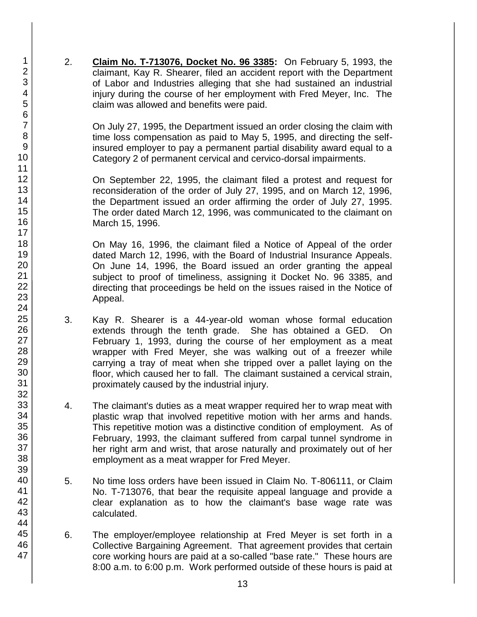2. **Claim No. T-713076, Docket No. 96 3385:** On February 5, 1993, the claimant, Kay R. Shearer, filed an accident report with the Department of Labor and Industries alleging that she had sustained an industrial injury during the course of her employment with Fred Meyer, Inc. The claim was allowed and benefits were paid.

On July 27, 1995, the Department issued an order closing the claim with time loss compensation as paid to May 5, 1995, and directing the selfinsured employer to pay a permanent partial disability award equal to a Category 2 of permanent cervical and cervico-dorsal impairments.

On September 22, 1995, the claimant filed a protest and request for reconsideration of the order of July 27, 1995, and on March 12, 1996, the Department issued an order affirming the order of July 27, 1995. The order dated March 12, 1996, was communicated to the claimant on March 15, 1996.

On May 16, 1996, the claimant filed a Notice of Appeal of the order dated March 12, 1996, with the Board of Industrial Insurance Appeals. On June 14, 1996, the Board issued an order granting the appeal subject to proof of timeliness, assigning it Docket No. 96 3385, and directing that proceedings be held on the issues raised in the Notice of Appeal.

- 3. Kay R. Shearer is a 44-year-old woman whose formal education extends through the tenth grade. She has obtained a GED. On February 1, 1993, during the course of her employment as a meat wrapper with Fred Meyer, she was walking out of a freezer while carrying a tray of meat when she tripped over a pallet laying on the floor, which caused her to fall. The claimant sustained a cervical strain, proximately caused by the industrial injury.
- 4. The claimant's duties as a meat wrapper required her to wrap meat with plastic wrap that involved repetitive motion with her arms and hands. This repetitive motion was a distinctive condition of employment. As of February, 1993, the claimant suffered from carpal tunnel syndrome in her right arm and wrist, that arose naturally and proximately out of her employment as a meat wrapper for Fred Meyer.
- 5. No time loss orders have been issued in Claim No. T-806111, or Claim No. T-713076, that bear the requisite appeal language and provide a clear explanation as to how the claimant's base wage rate was calculated.
- 6. The employer/employee relationship at Fred Meyer is set forth in a Collective Bargaining Agreement. That agreement provides that certain core working hours are paid at a so-called "base rate." These hours are 8:00 a.m. to 6:00 p.m. Work performed outside of these hours is paid at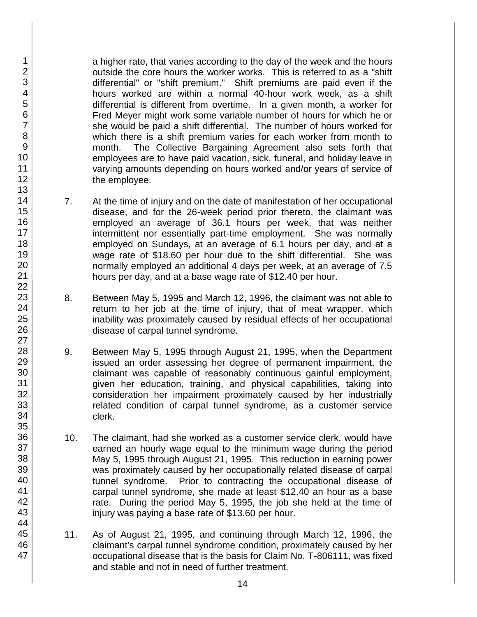a higher rate, that varies according to the day of the week and the hours outside the core hours the worker works. This is referred to as a "shift differential" or "shift premium." Shift premiums are paid even if the hours worked are within a normal 40-hour work week, as a shift differential is different from overtime. In a given month, a worker for Fred Meyer might work some variable number of hours for which he or she would be paid a shift differential. The number of hours worked for which there is a shift premium varies for each worker from month to month. The Collective Bargaining Agreement also sets forth that employees are to have paid vacation, sick, funeral, and holiday leave in varying amounts depending on hours worked and/or years of service of the employee.

- 7. At the time of injury and on the date of manifestation of her occupational disease, and for the 26-week period prior thereto, the claimant was employed an average of 36.1 hours per week, that was neither intermittent nor essentially part-time employment. She was normally employed on Sundays, at an average of 6.1 hours per day, and at a wage rate of \$18.60 per hour due to the shift differential. She was normally employed an additional 4 days per week, at an average of 7.5 hours per day, and at a base wage rate of \$12.40 per hour.
- 8. Between May 5, 1995 and March 12, 1996, the claimant was not able to return to her job at the time of injury, that of meat wrapper, which inability was proximately caused by residual effects of her occupational disease of carpal tunnel syndrome.
- 9. Between May 5, 1995 through August 21, 1995, when the Department issued an order assessing her degree of permanent impairment, the claimant was capable of reasonably continuous gainful employment, given her education, training, and physical capabilities, taking into consideration her impairment proximately caused by her industrially related condition of carpal tunnel syndrome, as a customer service clerk.
- 10. The claimant, had she worked as a customer service clerk, would have earned an hourly wage equal to the minimum wage during the period May 5, 1995 through August 21, 1995. This reduction in earning power was proximately caused by her occupationally related disease of carpal tunnel syndrome. Prior to contracting the occupational disease of carpal tunnel syndrome, she made at least \$12.40 an hour as a base rate. During the period May 5, 1995, the job she held at the time of injury was paying a base rate of \$13.60 per hour.
- 11. As of August 21, 1995, and continuing through March 12, 1996, the claimant's carpal tunnel syndrome condition, proximately caused by her occupational disease that is the basis for Claim No. T-806111, was fixed and stable and not in need of further treatment.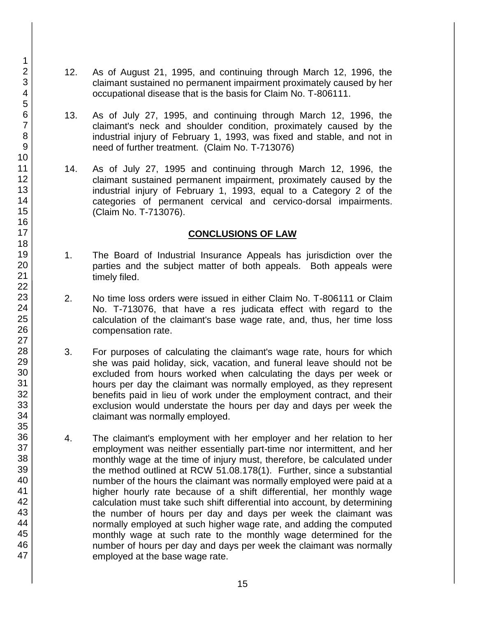- 12. As of August 21, 1995, and continuing through March 12, 1996, the claimant sustained no permanent impairment proximately caused by her occupational disease that is the basis for Claim No. T-806111.
- 13. As of July 27, 1995, and continuing through March 12, 1996, the claimant's neck and shoulder condition, proximately caused by the industrial injury of February 1, 1993, was fixed and stable, and not in need of further treatment. (Claim No. T-713076)
- 14. As of July 27, 1995 and continuing through March 12, 1996, the claimant sustained permanent impairment, proximately caused by the industrial injury of February 1, 1993, equal to a Category 2 of the categories of permanent cervical and cervico-dorsal impairments. (Claim No. T-713076).

#### **CONCLUSIONS OF LAW**

- 1. The Board of Industrial Insurance Appeals has jurisdiction over the parties and the subject matter of both appeals. Both appeals were timely filed.
- 2. No time loss orders were issued in either Claim No. T-806111 or Claim No. T-713076, that have a res judicata effect with regard to the calculation of the claimant's base wage rate, and, thus, her time loss compensation rate.
- 3. For purposes of calculating the claimant's wage rate, hours for which she was paid holiday, sick, vacation, and funeral leave should not be excluded from hours worked when calculating the days per week or hours per day the claimant was normally employed, as they represent benefits paid in lieu of work under the employment contract, and their exclusion would understate the hours per day and days per week the claimant was normally employed.
- 4. The claimant's employment with her employer and her relation to her employment was neither essentially part-time nor intermittent, and her monthly wage at the time of injury must, therefore, be calculated under the method outlined at RCW 51.08.178(1). Further, since a substantial number of the hours the claimant was normally employed were paid at a higher hourly rate because of a shift differential, her monthly wage calculation must take such shift differential into account, by determining the number of hours per day and days per week the claimant was normally employed at such higher wage rate, and adding the computed monthly wage at such rate to the monthly wage determined for the number of hours per day and days per week the claimant was normally employed at the base wage rate.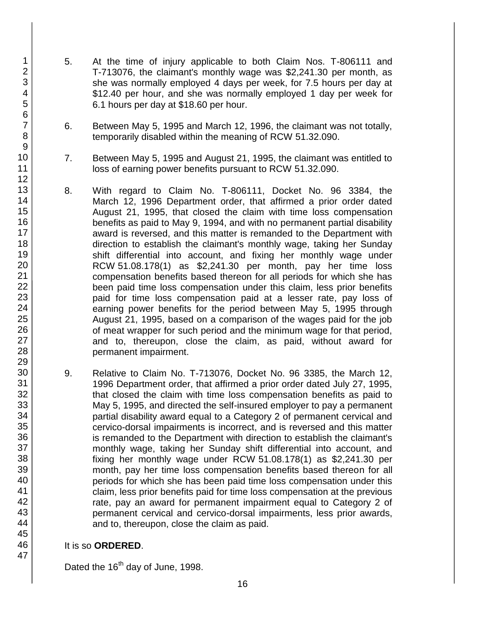- 5. At the time of injury applicable to both Claim Nos. T-806111 and T-713076, the claimant's monthly wage was \$2,241.30 per month, as she was normally employed 4 days per week, for 7.5 hours per day at \$12.40 per hour, and she was normally employed 1 day per week for 6.1 hours per day at \$18.60 per hour.
- 6. Between May 5, 1995 and March 12, 1996, the claimant was not totally, temporarily disabled within the meaning of RCW 51.32.090.
- 7. Between May 5, 1995 and August 21, 1995, the claimant was entitled to loss of earning power benefits pursuant to RCW 51.32.090.
- 8. With regard to Claim No. T-806111, Docket No. 96 3384, the March 12, 1996 Department order, that affirmed a prior order dated August 21, 1995, that closed the claim with time loss compensation benefits as paid to May 9, 1994, and with no permanent partial disability award is reversed, and this matter is remanded to the Department with direction to establish the claimant's monthly wage, taking her Sunday shift differential into account, and fixing her monthly wage under RCW 51.08.178(1) as \$2,241.30 per month, pay her time loss compensation benefits based thereon for all periods for which she has been paid time loss compensation under this claim, less prior benefits paid for time loss compensation paid at a lesser rate, pay loss of earning power benefits for the period between May 5, 1995 through August 21, 1995, based on a comparison of the wages paid for the job of meat wrapper for such period and the minimum wage for that period, and to, thereupon, close the claim, as paid, without award for permanent impairment.
- 9. Relative to Claim No. T-713076, Docket No. 96 3385, the March 12, 1996 Department order, that affirmed a prior order dated July 27, 1995, that closed the claim with time loss compensation benefits as paid to May 5, 1995, and directed the self-insured employer to pay a permanent partial disability award equal to a Category 2 of permanent cervical and cervico-dorsal impairments is incorrect, and is reversed and this matter is remanded to the Department with direction to establish the claimant's monthly wage, taking her Sunday shift differential into account, and fixing her monthly wage under RCW 51.08.178(1) as \$2,241.30 per month, pay her time loss compensation benefits based thereon for all periods for which she has been paid time loss compensation under this claim, less prior benefits paid for time loss compensation at the previous rate, pay an award for permanent impairment equal to Category 2 of permanent cervical and cervico-dorsal impairments, less prior awards, and to, thereupon, close the claim as paid.

### It is so **ORDERED**.

Dated the 16<sup>th</sup> day of June, 1998.